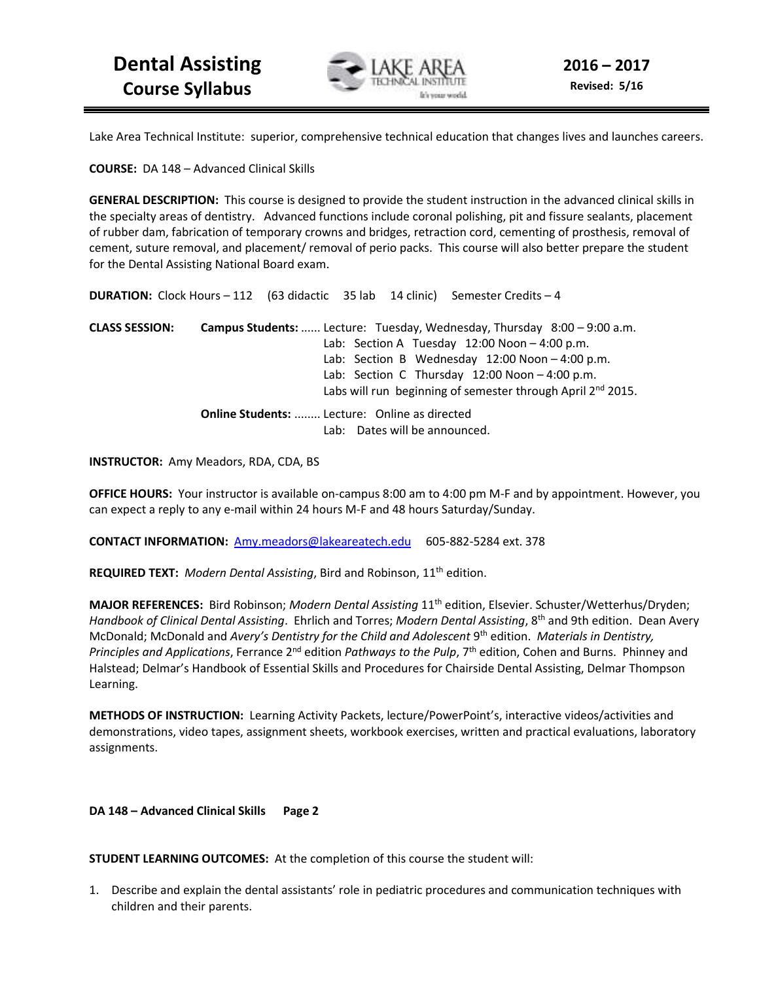

Lake Area Technical Institute: superior, comprehensive technical education that changes lives and launches careers.

**COURSE:** DA 148 – Advanced Clinical Skills

**GENERAL DESCRIPTION:** This course is designed to provide the student instruction in the advanced clinical skills in the specialty areas of dentistry. Advanced functions include coronal polishing, pit and fissure sealants, placement of rubber dam, fabrication of temporary crowns and bridges, retraction cord, cementing of prosthesis, removal of cement, suture removal, and placement/ removal of perio packs. This course will also better prepare the student for the Dental Assisting National Board exam.

**DURATION:** Clock Hours – 112 (63 didactic 35 lab 14 clinic) Semester Credits – 4

**CLASS SESSION: Campus Students:** ...... Lecture: Tuesday, Wednesday, Thursday 8:00 – 9:00 a.m. Lab: Section A Tuesday 12:00 Noon - 4:00 p.m. Lab: Section B Wednesday 12:00 Noon – 4:00 p.m. Lab: Section C Thursday 12:00 Noon - 4:00 p.m. Labs will run beginning of semester through April 2<sup>nd</sup> 2015. **Online Students:** ........ Lecture: Online as directed Lab: Dates will be announced.

**INSTRUCTOR:** Amy Meadors, RDA, CDA, BS

**OFFICE HOURS:** Your instructor is available on-campus 8:00 am to 4:00 pm M-F and by appointment. However, you can expect a reply to any e-mail within 24 hours M-F and 48 hours Saturday/Sunday.

**CONTACT INFORMATION:** Amy.meadors@lakeareatech.edu 605-882-5284 ext. 378

**REQUIRED TEXT:** *Modern Dental Assisting*, Bird and Robinson, 11th edition.

**MAJOR REFERENCES:** Bird Robinson; *Modern Dental Assisting* 11th edition, Elsevier. Schuster/Wetterhus/Dryden; *Handbook of Clinical Dental Assisting*. Ehrlich and Torres; *Modern Dental Assisting*, 8th and 9th edition. Dean Avery McDonald; McDonald and *Avery's Dentistry for the Child and Adolescent* 9th edition. *Materials in Dentistry, Principles and Applications*, Ferrance 2nd edition *Pathways to the Pulp*, 7th edition, Cohen and Burns. Phinney and Halstead; Delmar's Handbook of Essential Skills and Procedures for Chairside Dental Assisting, Delmar Thompson Learning.

**METHODS OF INSTRUCTION:** Learning Activity Packets, lecture/PowerPoint's, interactive videos/activities and demonstrations, video tapes, assignment sheets, workbook exercises, written and practical evaluations, laboratory assignments.

**DA 148 – Advanced Clinical Skills Page 2** 

**STUDENT LEARNING OUTCOMES:** At the completion of this course the student will:

1. Describe and explain the dental assistants' role in pediatric procedures and communication techniques with children and their parents.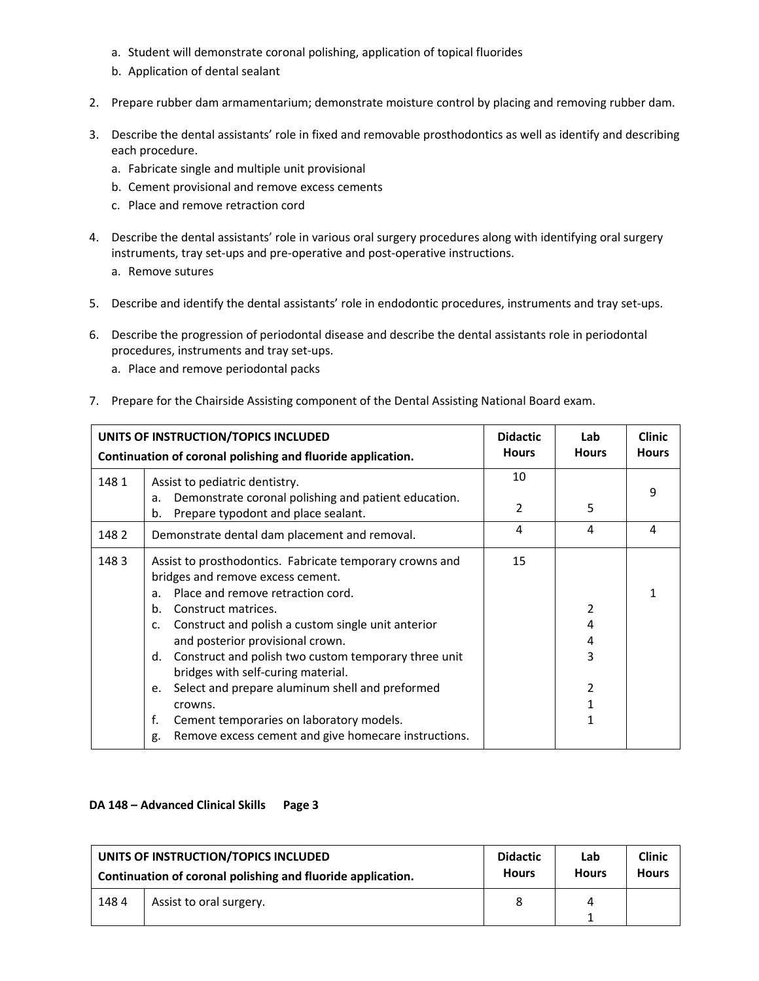- a. Student will demonstrate coronal polishing, application of topical fluorides
- b. Application of dental sealant
- 2. Prepare rubber dam armamentarium; demonstrate moisture control by placing and removing rubber dam.
- 3. Describe the dental assistants' role in fixed and removable prosthodontics as well as identify and describing each procedure.
	- a. Fabricate single and multiple unit provisional
	- b. Cement provisional and remove excess cements
	- c. Place and remove retraction cord
- 4. Describe the dental assistants' role in various oral surgery procedures along with identifying oral surgery instruments, tray set-ups and pre-operative and post-operative instructions.
	- a. Remove sutures
- 5. Describe and identify the dental assistants' role in endodontic procedures, instruments and tray set-ups.
- 6. Describe the progression of periodontal disease and describe the dental assistants role in periodontal procedures, instruments and tray set-ups.
	- a. Place and remove periodontal packs
- 7. Prepare for the Chairside Assisting component of the Dental Assisting National Board exam.

| UNITS OF INSTRUCTION/TOPICS INCLUDED<br>Continuation of coronal polishing and fluoride application. |                                                                                                  | <b>Didactic</b><br><b>Hours</b> | Lab<br><b>Hours</b> | <b>Clinic</b><br><b>Hours</b> |
|-----------------------------------------------------------------------------------------------------|--------------------------------------------------------------------------------------------------|---------------------------------|---------------------|-------------------------------|
| 1481                                                                                                | Assist to pediatric dentistry.                                                                   | 10                              |                     |                               |
|                                                                                                     | Demonstrate coronal polishing and patient education.<br>a.                                       | 2                               | 5                   | 9                             |
|                                                                                                     | Prepare typodont and place sealant.<br>b.                                                        |                                 |                     |                               |
| 1482                                                                                                | Demonstrate dental dam placement and removal.                                                    | 4                               | 4                   | 4                             |
| 1483                                                                                                | Assist to prosthodontics. Fabricate temporary crowns and<br>bridges and remove excess cement.    | 15                              |                     |                               |
|                                                                                                     | Place and remove retraction cord.<br>a.                                                          |                                 |                     | 1                             |
|                                                                                                     | b.<br>Construct matrices.                                                                        |                                 | 2                   |                               |
|                                                                                                     | Construct and polish a custom single unit anterior<br>$\mathsf{C}$ .                             |                                 | 4                   |                               |
|                                                                                                     | and posterior provisional crown.                                                                 |                                 | 4                   |                               |
|                                                                                                     | Construct and polish two custom temporary three unit<br>d.<br>bridges with self-curing material. |                                 | 3                   |                               |
|                                                                                                     | Select and prepare aluminum shell and preformed<br>e.                                            |                                 | 2                   |                               |
|                                                                                                     | crowns.                                                                                          |                                 |                     |                               |
|                                                                                                     | f.<br>Cement temporaries on laboratory models.                                                   |                                 |                     |                               |
|                                                                                                     | Remove excess cement and give homecare instructions.<br>g.                                       |                                 |                     |                               |

#### **DA 148 – Advanced Clinical Skills Page 3**

| UNITS OF INSTRUCTION/TOPICS INCLUDED                        |                         | <b>Didactic</b> | Lab          | <b>Clinic</b> |
|-------------------------------------------------------------|-------------------------|-----------------|--------------|---------------|
| Continuation of coronal polishing and fluoride application. |                         | <b>Hours</b>    | <b>Hours</b> | <b>Hours</b>  |
| 1484                                                        | Assist to oral surgery. |                 | Δ            |               |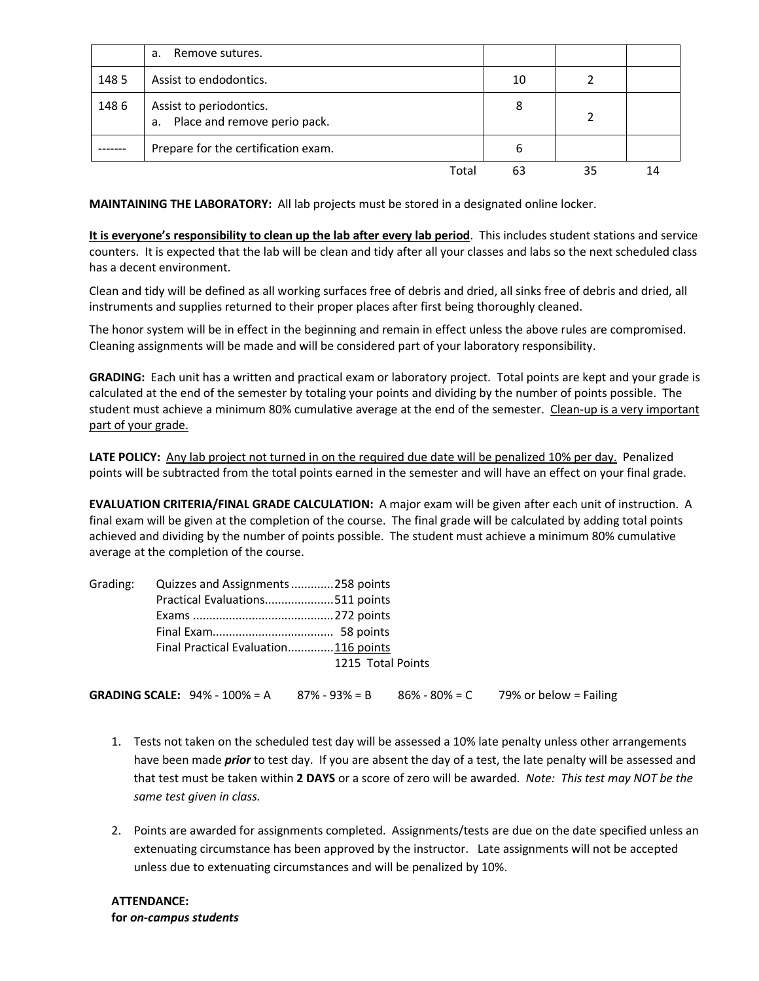|      | Remove sutures.<br>a.                                         |    |    |  |
|------|---------------------------------------------------------------|----|----|--|
| 1485 | Assist to endodontics.                                        | 10 |    |  |
| 1486 | Assist to periodontics.<br>Place and remove perio pack.<br>а. | 8  |    |  |
|      | Prepare for the certification exam.                           | 6  |    |  |
|      | Total                                                         | 63 | 35 |  |

**MAINTAINING THE LABORATORY:** All lab projects must be stored in a designated online locker.

**It is everyone's responsibility to clean up the lab after every lab period**. This includes student stations and service counters. It is expected that the lab will be clean and tidy after all your classes and labs so the next scheduled class has a decent environment.

Clean and tidy will be defined as all working surfaces free of debris and dried, all sinks free of debris and dried, all instruments and supplies returned to their proper places after first being thoroughly cleaned.

The honor system will be in effect in the beginning and remain in effect unless the above rules are compromised. Cleaning assignments will be made and will be considered part of your laboratory responsibility.

**GRADING:** Each unit has a written and practical exam or laboratory project. Total points are kept and your grade is calculated at the end of the semester by totaling your points and dividing by the number of points possible. The student must achieve a minimum 80% cumulative average at the end of the semester. Clean-up is a very important part of your grade.

LATE POLICY: Any lab project not turned in on the required due date will be penalized 10% per day. Penalized points will be subtracted from the total points earned in the semester and will have an effect on your final grade.

**EVALUATION CRITERIA/FINAL GRADE CALCULATION:** A major exam will be given after each unit of instruction. A final exam will be given at the completion of the course. The final grade will be calculated by adding total points achieved and dividing by the number of points possible. The student must achieve a minimum 80% cumulative average at the completion of the course.

| Grading: Quizzes and Assignments 258 points |                   |  |
|---------------------------------------------|-------------------|--|
| Practical Evaluations511 points             |                   |  |
|                                             |                   |  |
|                                             |                   |  |
| Final Practical Evaluation116 points        |                   |  |
|                                             | 1215 Total Points |  |
|                                             |                   |  |

**GRADING SCALE:**  $94\% - 100\% = A$  87% -  $93\% = B$  86% - 80% = C 79% or below = Failing

- 1. Tests not taken on the scheduled test day will be assessed a 10% late penalty unless other arrangements have been made *prior* to test day. If you are absent the day of a test, the late penalty will be assessed and that test must be taken within **2 DAYS** or a score of zero will be awarded. *Note: This test may NOT be the same test given in class.*
- 2. Points are awarded for assignments completed. Assignments/tests are due on the date specified unless an extenuating circumstance has been approved by the instructor. Late assignments will not be accepted unless due to extenuating circumstances and will be penalized by 10%.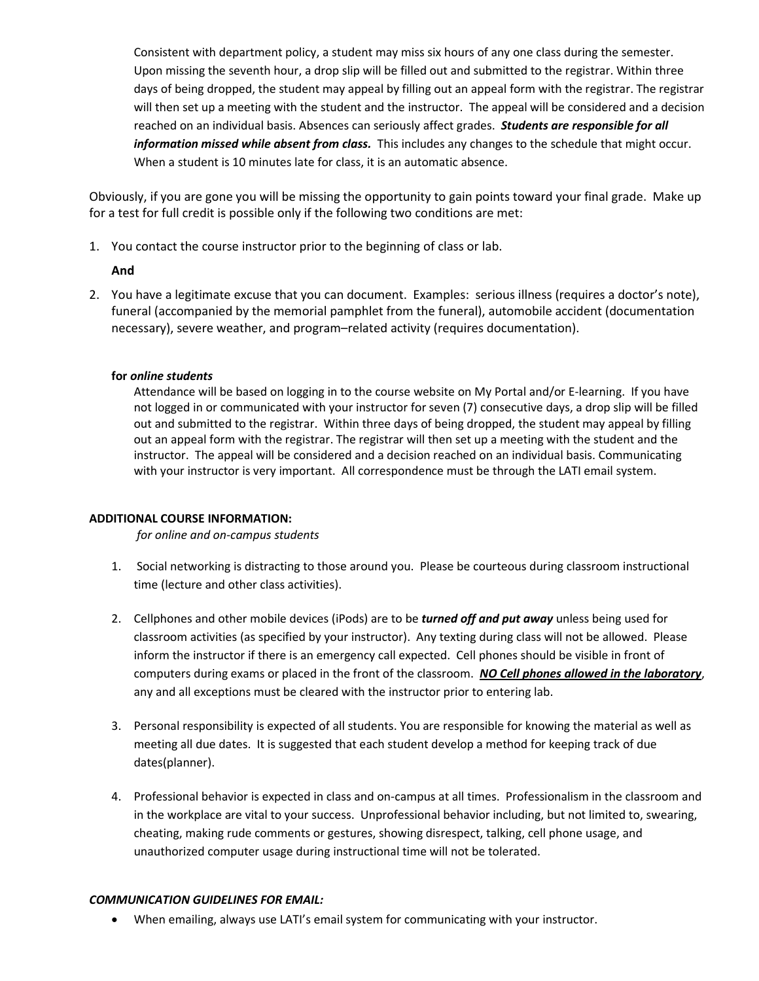Consistent with department policy, a student may miss six hours of any one class during the semester. Upon missing the seventh hour, a drop slip will be filled out and submitted to the registrar. Within three days of being dropped, the student may appeal by filling out an appeal form with the registrar. The registrar will then set up a meeting with the student and the instructor. The appeal will be considered and a decision reached on an individual basis. Absences can seriously affect grades. *Students are responsible for all information missed while absent from class.* This includes any changes to the schedule that might occur. When a student is 10 minutes late for class, it is an automatic absence.

Obviously, if you are gone you will be missing the opportunity to gain points toward your final grade. Make up for a test for full credit is possible only if the following two conditions are met:

1. You contact the course instructor prior to the beginning of class or lab.

## **And**

2. You have a legitimate excuse that you can document. Examples: serious illness (requires a doctor's note), funeral (accompanied by the memorial pamphlet from the funeral), automobile accident (documentation necessary), severe weather, and program–related activity (requires documentation).

## **for** *online students*

Attendance will be based on logging in to the course website on My Portal and/or E-learning. If you have not logged in or communicated with your instructor for seven (7) consecutive days, a drop slip will be filled out and submitted to the registrar. Within three days of being dropped, the student may appeal by filling out an appeal form with the registrar. The registrar will then set up a meeting with the student and the instructor. The appeal will be considered and a decision reached on an individual basis. Communicating with your instructor is very important. All correspondence must be through the LATI email system.

## **ADDITIONAL COURSE INFORMATION:**

*for online and on-campus students* 

- 1. Social networking is distracting to those around you. Please be courteous during classroom instructional time (lecture and other class activities).
- 2. Cellphones and other mobile devices (iPods) are to be *turned off and put away* unless being used for classroom activities (as specified by your instructor). Any texting during class will not be allowed. Please inform the instructor if there is an emergency call expected. Cell phones should be visible in front of computers during exams or placed in the front of the classroom. *NO Cell phones allowed in the laboratory*, any and all exceptions must be cleared with the instructor prior to entering lab.
- 3. Personal responsibility is expected of all students. You are responsible for knowing the material as well as meeting all due dates. It is suggested that each student develop a method for keeping track of due dates(planner).
- 4. Professional behavior is expected in class and on-campus at all times. Professionalism in the classroom and in the workplace are vital to your success. Unprofessional behavior including, but not limited to, swearing, cheating, making rude comments or gestures, showing disrespect, talking, cell phone usage, and unauthorized computer usage during instructional time will not be tolerated.

#### *COMMUNICATION GUIDELINES FOR EMAIL:*

• When emailing, always use LATI's email system for communicating with your instructor.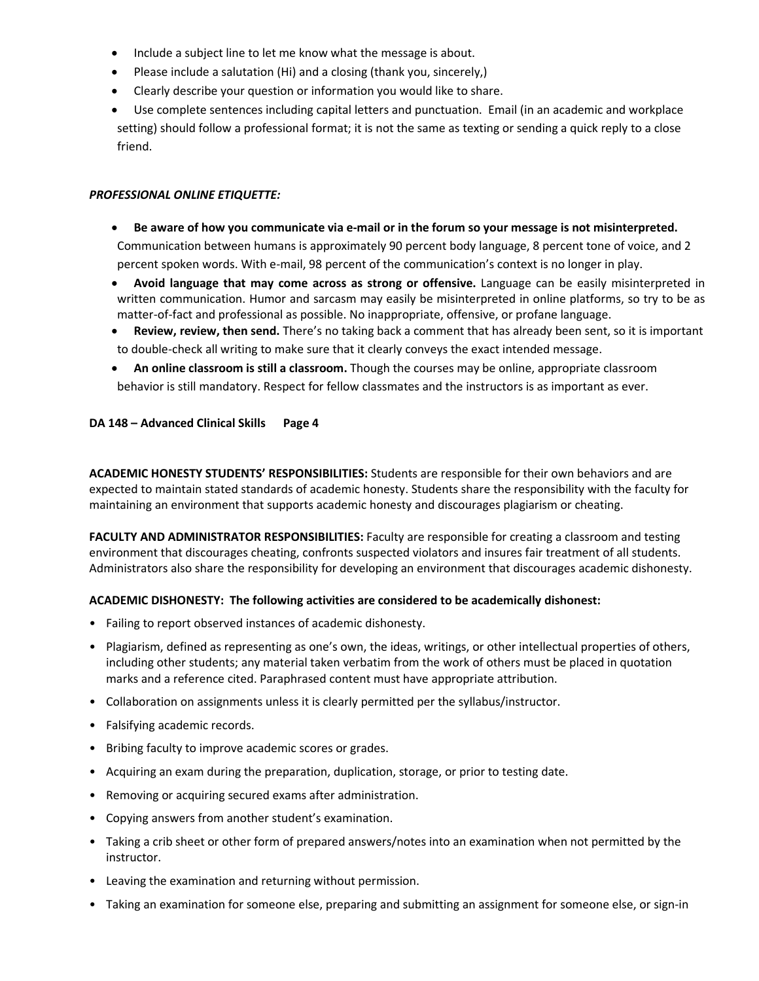- Include a subject line to let me know what the message is about.
- Please include a salutation (Hi) and a closing (thank you, sincerely,)
- Clearly describe your question or information you would like to share.
- Use complete sentences including capital letters and punctuation. Email (in an academic and workplace setting) should follow a professional format; it is not the same as texting or sending a quick reply to a close friend.

## *PROFESSIONAL ONLINE ETIQUETTE:*

- **Be aware of how you communicate via e-mail or in the forum so your message is not misinterpreted.** Communication between humans is approximately 90 percent body language, 8 percent tone of voice, and 2 percent spoken words. With e-mail, 98 percent of the communication's context is no longer in play.
- **Avoid language that may come across as strong or offensive.** Language can be easily misinterpreted in written communication. Humor and sarcasm may easily be misinterpreted in online platforms, so try to be as matter-of-fact and professional as possible. No inappropriate, offensive, or profane language.
- **Review, review, then send.** There's no taking back a comment that has already been sent, so it is important to double-check all writing to make sure that it clearly conveys the exact intended message.
- **An online classroom is still a classroom.** Though the courses may be online, appropriate classroom behavior is still mandatory. Respect for fellow classmates and the instructors is as important as ever.

## **DA 148 – Advanced Clinical Skills Page 4**

**ACADEMIC HONESTY STUDENTS' RESPONSIBILITIES:** Students are responsible for their own behaviors and are expected to maintain stated standards of academic honesty. Students share the responsibility with the faculty for maintaining an environment that supports academic honesty and discourages plagiarism or cheating.

**FACULTY AND ADMINISTRATOR RESPONSIBILITIES:** Faculty are responsible for creating a classroom and testing environment that discourages cheating, confronts suspected violators and insures fair treatment of all students. Administrators also share the responsibility for developing an environment that discourages academic dishonesty.

#### **ACADEMIC DISHONESTY: The following activities are considered to be academically dishonest:**

- Failing to report observed instances of academic dishonesty.
- Plagiarism, defined as representing as one's own, the ideas, writings, or other intellectual properties of others, including other students; any material taken verbatim from the work of others must be placed in quotation marks and a reference cited. Paraphrased content must have appropriate attribution.
- Collaboration on assignments unless it is clearly permitted per the syllabus/instructor.
- Falsifying academic records.
- Bribing faculty to improve academic scores or grades.
- Acquiring an exam during the preparation, duplication, storage, or prior to testing date.
- Removing or acquiring secured exams after administration.
- Copying answers from another student's examination.
- Taking a crib sheet or other form of prepared answers/notes into an examination when not permitted by the instructor.
- Leaving the examination and returning without permission.
- Taking an examination for someone else, preparing and submitting an assignment for someone else, or sign-in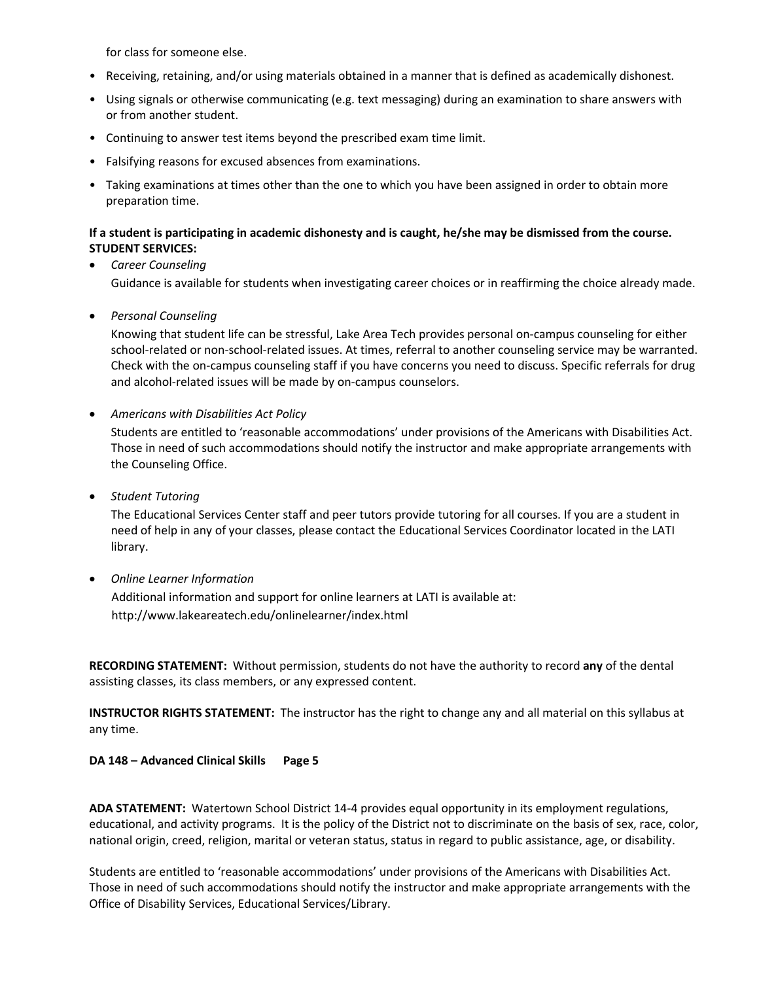for class for someone else.

- Receiving, retaining, and/or using materials obtained in a manner that is defined as academically dishonest.
- Using signals or otherwise communicating (e.g. text messaging) during an examination to share answers with or from another student.
- Continuing to answer test items beyond the prescribed exam time limit.
- Falsifying reasons for excused absences from examinations.
- Taking examinations at times other than the one to which you have been assigned in order to obtain more preparation time.

## **If a student is participating in academic dishonesty and is caught, he/she may be dismissed from the course. STUDENT SERVICES:**

## • *Career Counseling*  Guidance is available for students when investigating career choices or in reaffirming the choice already made.

• *Personal Counseling* 

Knowing that student life can be stressful, Lake Area Tech provides personal on-campus counseling for either school-related or non-school-related issues. At times, referral to another counseling service may be warranted. Check with the on-campus counseling staff if you have concerns you need to discuss. Specific referrals for drug and alcohol-related issues will be made by on-campus counselors.

#### • *Americans with Disabilities Act Policy*

Students are entitled to 'reasonable accommodations' under provisions of the Americans with Disabilities Act. Those in need of such accommodations should notify the instructor and make appropriate arrangements with the Counseling Office.

• *Student Tutoring* 

The Educational Services Center staff and peer tutors provide tutoring for all courses. If you are a student in need of help in any of your classes, please contact the Educational Services Coordinator located in the LATI library.

• *Online Learner Information* 

Additional information and support for online learners at LATI is available at: http://www.lakeareatech.edu/onlinelearner/index.html

**RECORDING STATEMENT:** Without permission, students do not have the authority to record **any** of the dental assisting classes, its class members, or any expressed content.

**INSTRUCTOR RIGHTS STATEMENT:** The instructor has the right to change any and all material on this syllabus at any time.

#### **DA 148 – Advanced Clinical Skills Page 5**

**ADA STATEMENT:** Watertown School District 14-4 provides equal opportunity in its employment regulations, educational, and activity programs. It is the policy of the District not to discriminate on the basis of sex, race, color, national origin, creed, religion, marital or veteran status, status in regard to public assistance, age, or disability.

Students are entitled to 'reasonable accommodations' under provisions of the Americans with Disabilities Act. Those in need of such accommodations should notify the instructor and make appropriate arrangements with the Office of Disability Services, Educational Services/Library.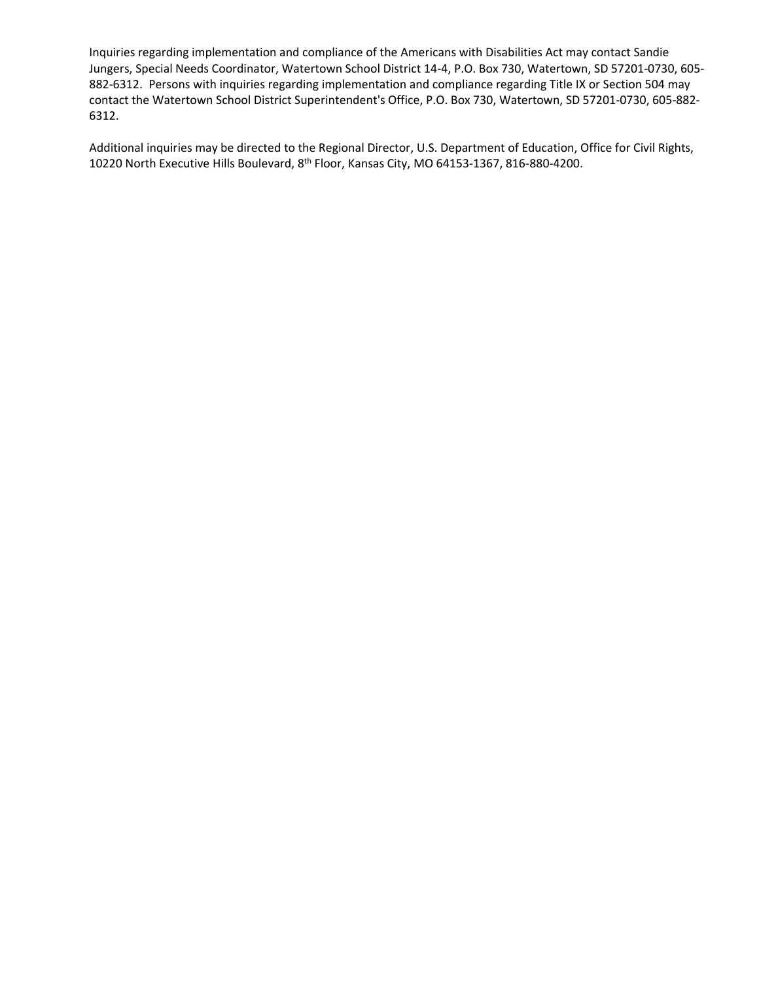Inquiries regarding implementation and compliance of the Americans with Disabilities Act may contact Sandie Jungers, Special Needs Coordinator, Watertown School District 14-4, P.O. Box 730, Watertown, SD 57201-0730, 605- 882-6312. Persons with inquiries regarding implementation and compliance regarding Title IX or Section 504 may contact the Watertown School District Superintendent's Office, P.O. Box 730, Watertown, SD 57201-0730, 605-882- 6312.

Additional inquiries may be directed to the Regional Director, U.S. Department of Education, Office for Civil Rights, 10220 North Executive Hills Boulevard, 8th Floor, Kansas City, MO 64153-1367, 816-880-4200.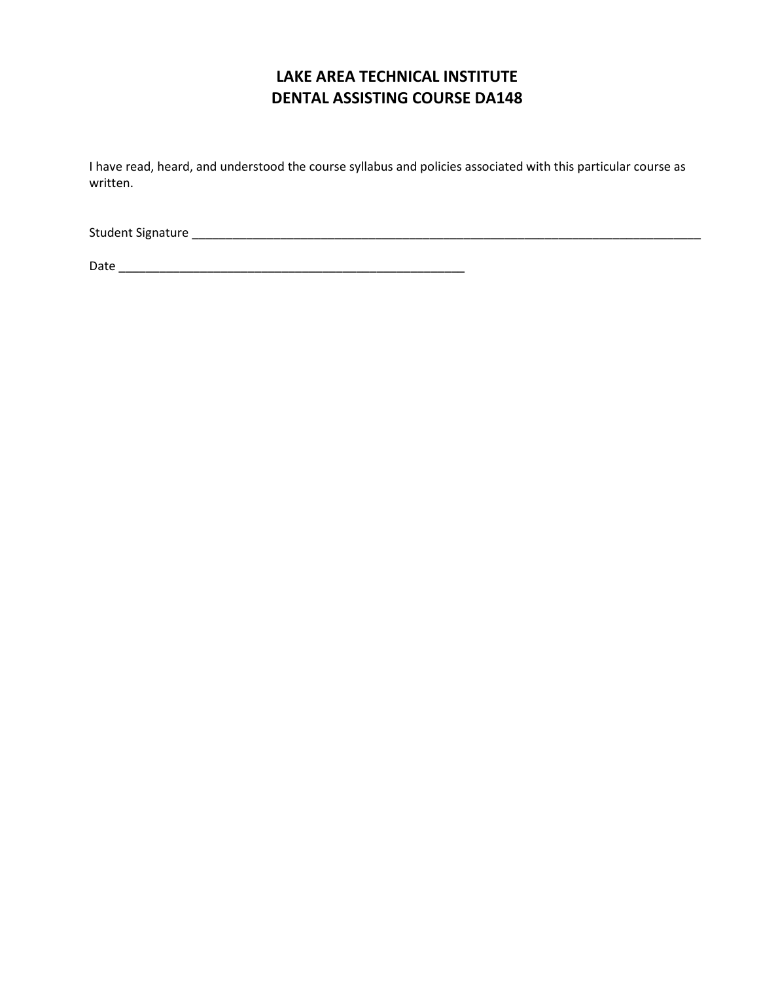# **LAKE AREA TECHNICAL INSTITUTE DENTAL ASSISTING COURSE DA148**

I have read, heard, and understood the course syllabus and policies associated with this particular course as written.

Student Signature \_\_\_\_\_\_\_\_\_\_\_\_\_\_\_\_\_\_\_\_\_\_\_\_\_\_\_\_\_\_\_\_\_\_\_\_\_\_\_\_\_\_\_\_\_\_\_\_\_\_\_\_\_\_\_\_\_\_\_\_\_\_\_\_\_\_\_\_\_\_\_\_\_\_\_

Date \_\_\_\_\_\_\_\_\_\_\_\_\_\_\_\_\_\_\_\_\_\_\_\_\_\_\_\_\_\_\_\_\_\_\_\_\_\_\_\_\_\_\_\_\_\_\_\_\_\_\_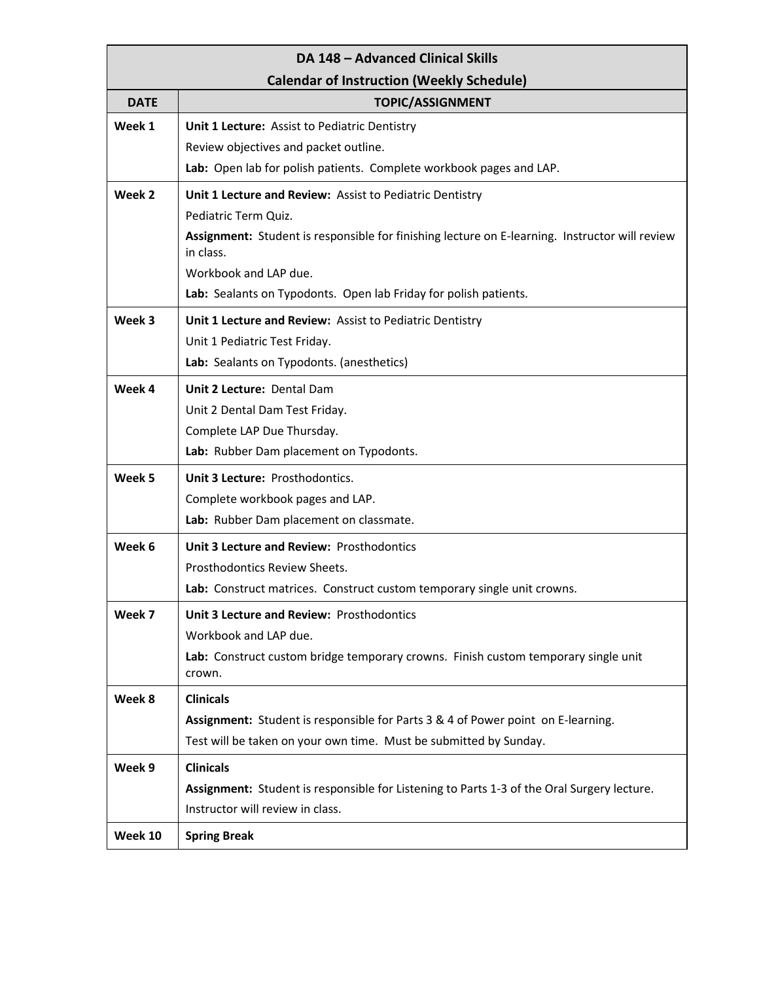| DA 148 - Advanced Clinical Skills                |                                                                                                             |  |
|--------------------------------------------------|-------------------------------------------------------------------------------------------------------------|--|
| <b>Calendar of Instruction (Weekly Schedule)</b> |                                                                                                             |  |
| <b>DATE</b>                                      | <b>TOPIC/ASSIGNMENT</b>                                                                                     |  |
| Week 1                                           | Unit 1 Lecture: Assist to Pediatric Dentistry                                                               |  |
|                                                  | Review objectives and packet outline.                                                                       |  |
|                                                  | Lab: Open lab for polish patients. Complete workbook pages and LAP.                                         |  |
| Week 2                                           | Unit 1 Lecture and Review: Assist to Pediatric Dentistry                                                    |  |
|                                                  | Pediatric Term Quiz.                                                                                        |  |
|                                                  | Assignment: Student is responsible for finishing lecture on E-learning. Instructor will review<br>in class. |  |
|                                                  | Workbook and LAP due.                                                                                       |  |
|                                                  | Lab: Sealants on Typodonts. Open lab Friday for polish patients.                                            |  |
| Week 3                                           | Unit 1 Lecture and Review: Assist to Pediatric Dentistry                                                    |  |
|                                                  | Unit 1 Pediatric Test Friday.                                                                               |  |
|                                                  | Lab: Sealants on Typodonts. (anesthetics)                                                                   |  |
| Week 4                                           | Unit 2 Lecture: Dental Dam                                                                                  |  |
|                                                  | Unit 2 Dental Dam Test Friday.                                                                              |  |
|                                                  | Complete LAP Due Thursday.                                                                                  |  |
|                                                  | Lab: Rubber Dam placement on Typodonts.                                                                     |  |
| Week 5                                           | Unit 3 Lecture: Prosthodontics.                                                                             |  |
|                                                  | Complete workbook pages and LAP.                                                                            |  |
|                                                  | Lab: Rubber Dam placement on classmate.                                                                     |  |
| Week 6                                           | Unit 3 Lecture and Review: Prosthodontics                                                                   |  |
|                                                  | Prosthodontics Review Sheets.                                                                               |  |
|                                                  | Lab: Construct matrices. Construct custom temporary single unit crowns.                                     |  |
| Week 7                                           | Unit 3 Lecture and Review: Prosthodontics                                                                   |  |
|                                                  | Workbook and LAP due.                                                                                       |  |
|                                                  | Lab: Construct custom bridge temporary crowns. Finish custom temporary single unit<br>crown.                |  |
| Week 8                                           | <b>Clinicals</b>                                                                                            |  |
|                                                  | Assignment: Student is responsible for Parts 3 & 4 of Power point on E-learning.                            |  |
|                                                  | Test will be taken on your own time. Must be submitted by Sunday.                                           |  |
| Week 9                                           | <b>Clinicals</b>                                                                                            |  |
|                                                  | Assignment: Student is responsible for Listening to Parts 1-3 of the Oral Surgery lecture.                  |  |
|                                                  | Instructor will review in class.                                                                            |  |
| Week 10                                          | <b>Spring Break</b>                                                                                         |  |